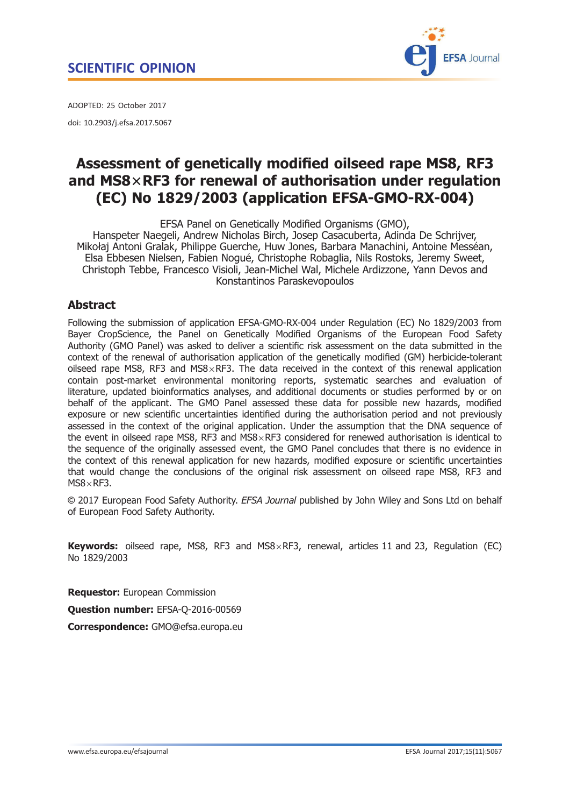

<span id="page-0-0"></span>ADOPTED: 25 October 2017 doi: 10.2903/j.efsa.2017.5067

# Assessment of genetically modified oilseed rape MS8, RF3 and MS8 $\times$ RF3 for renewal of authorisation under regulation (EC) No 1829/2003 (application EFSA-GMO-RX-004)

EFSA Panel on Genetically Modified Organisms (GMO), Hanspeter Naegeli, Andrew Nicholas Birch, Josep Casacuberta, Adinda De Schrijver, Mikołaj Antoni Gralak, Philippe Guerche, Huw Jones, Barbara Manachini, Antoine Messean, Elsa Ebbesen Nielsen, Fabien Nogue, Christophe Robaglia, Nils Rostoks, Jeremy Sweet, Christoph Tebbe, Francesco Visioli, Jean-Michel Wal, Michele Ardizzone, Yann Devos and Konstantinos Paraskevopoulos

# Abstract

Following the submission of application EFSA-GMO-RX-004 under Regulation (EC) No 1829/2003 from Bayer CropScience, the Panel on Genetically Modified Organisms of the European Food Safety Authority (GMO Panel) was asked to deliver a scientific risk assessment on the data submitted in the context of the renewal of authorisation application of the genetically modified (GM) herbicide-tolerant oilseed rape MS8, RF3 and MS8 $\times$ RF3. The data received in the context of this renewal application contain post-market environmental monitoring reports, systematic searches and evaluation of literature, updated bioinformatics analyses, and additional documents or studies performed by or on behalf of the applicant. The GMO Panel assessed these data for possible new hazards, modified exposure or new scientific uncertainties identified during the authorisation period and not previously assessed in the context of the original application. Under the assumption that the DNA sequence of the event in oilseed rape MS8, RF3 and MS8 $\times$ RF3 considered for renewed authorisation is identical to the sequence of the originally assessed event, the GMO Panel concludes that there is no evidence in the context of this renewal application for new hazards, modified exposure or scientific uncertainties that would change the conclusions of the original risk assessment on oilseed rape MS8, RF3 and  $MS8 \times RF3$ .

© 2017 European Food Safety Authority. EFSA Journal published by John Wiley and Sons Ltd on behalf of European Food Safety Authority.

**Keywords:** oilseed rape, MS8, RF3 and MS8 $\times$ RF3, renewal, articles 11 and 23, Regulation (EC) No 1829/2003

Requestor: European Commission

Question number: EFSA-Q-2016-00569

Correspondence: GMO@efsa.europa.eu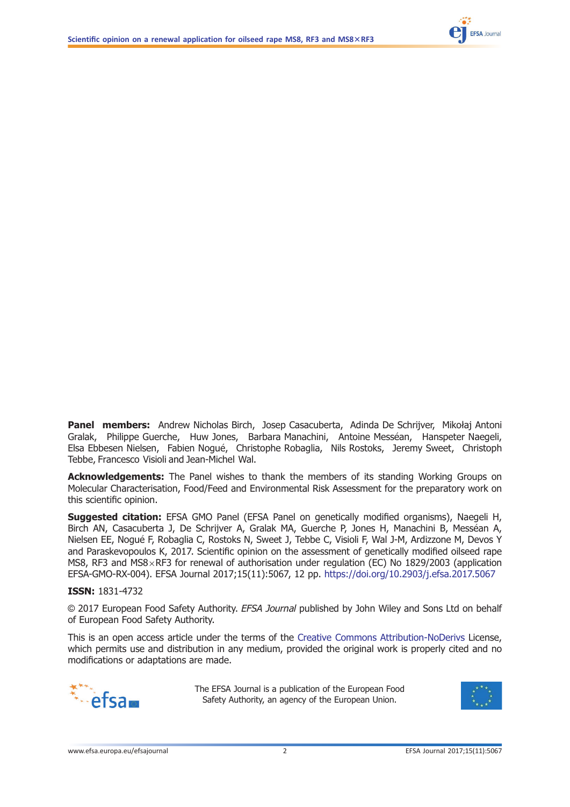

Panel members: Andrew Nicholas Birch, Josep Casacuberta, Adinda De Schrijver, Mikołaj Antoni Gralak, Philippe Guerche, Huw Jones, Barbara Manachini, Antoine Messéan, Hanspeter Naegeli, Elsa Ebbesen Nielsen, Fabien Nogue, Christophe Robaglia, Nils Rostoks, Jeremy Sweet, Christoph Tebbe, Francesco Visioli and Jean-Michel Wal.

Acknowledgements: The Panel wishes to thank the members of its standing Working Groups on Molecular Characterisation, Food/Feed and Environmental Risk Assessment for the preparatory work on this scientific opinion.

Suggested citation: EFSA GMO Panel (EFSA Panel on genetically modified organisms), Naegeli H, Birch AN, Casacuberta J, De Schrijver A, Gralak MA, Guerche P, Jones H, Manachini B, Messéan A, Nielsen EE, Nogue F, Robaglia C, Rostoks N, Sweet J, Tebbe C, Visioli F, Wal J-M, Ardizzone M, Devos Y and Paraskevopoulos K, 2017. Scientific opinion on the assessment of genetically modified oilseed rape MS8, RF3 and MS8 $\times$ RF3 for renewal of authorisation under regulation (EC) No 1829/2003 (application EFSA-GMO-RX-004). EFSA Journal 2017;15(11):5067, 12 pp. <https://doi.org/10.2903/j.efsa.2017.5067>

#### ISSN: 1831-4732

© 2017 European Food Safety Authority. EFSA Journal published by John Wiley and Sons Ltd on behalf of European Food Safety Authority.

This is an open access article under the terms of the [Creative Commons Attribution-NoDerivs](http://creativecommons.org/licenses/by-nd/4.0/) License, which permits use and distribution in any medium, provided the original work is properly cited and no modifications or adaptations are made.



The EFSA Journal is a publication of the European Food Safety Authority, an agency of the European Union.

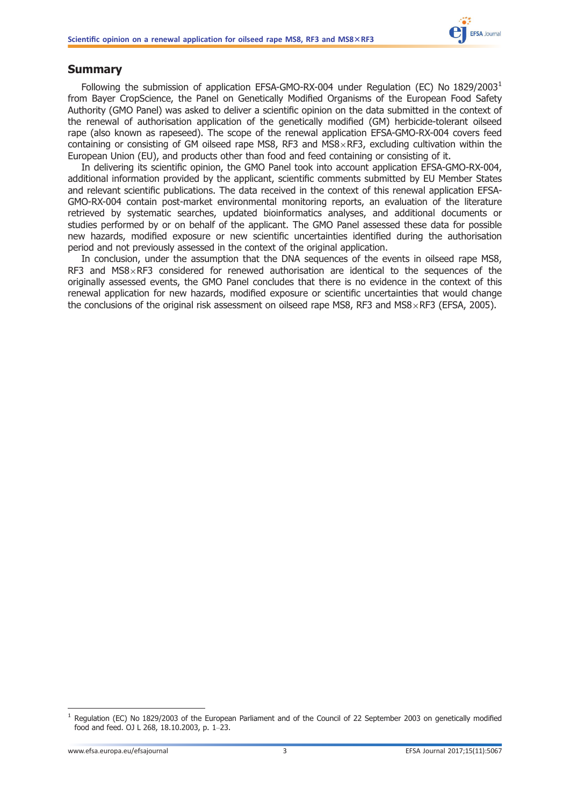# <span id="page-2-0"></span>Summary

Following the submission of application EFSA-GMO-RX-004 under Regulation (EC) No  $1829/2003<sup>1</sup>$ from Bayer CropScience, the Panel on Genetically Modified Organisms of the European Food Safety Authority (GMO Panel) was asked to deliver a scientific opinion on the data submitted in the context of the renewal of authorisation application of the genetically modified (GM) herbicide-tolerant oilseed rape (also known as rapeseed). The scope of the renewal application EFSA-GMO-RX-004 covers feed containing or consisting of GM oilseed rape MS8, RF3 and MS8 $\times$ RF3, excluding cultivation within the European Union (EU), and products other than food and feed containing or consisting of it.

In delivering its scientific opinion, the GMO Panel took into account application EFSA-GMO-RX-004, additional information provided by the applicant, scientific comments submitted by EU Member States and relevant scientific publications. The data received in the context of this renewal application EFSA-GMO-RX-004 contain post-market environmental monitoring reports, an evaluation of the literature retrieved by systematic searches, updated bioinformatics analyses, and additional documents or studies performed by or on behalf of the applicant. The GMO Panel assessed these data for possible new hazards, modified exposure or new scientific uncertainties identified during the authorisation period and not previously assessed in the context of the original application.

In conclusion, under the assumption that the DNA sequences of the events in oilseed rape MS8, RF3 and MS8 $\times$ RF3 considered for renewed authorisation are identical to the sequences of the originally assessed events, the GMO Panel concludes that there is no evidence in the context of this renewal application for new hazards, modified exposure or scientific uncertainties that would change the conclusions of the original risk assessment on oilseed rape MS8, RF3 and MS8 $\times$ RF3 (EFSA, 2005).

<sup>&</sup>lt;sup>1</sup> Regulation (EC) No 1829/2003 of the European Parliament and of the Council of 22 September 2003 on genetically modified food and feed. OJ L 268, 18.10.2003, p. 1–23.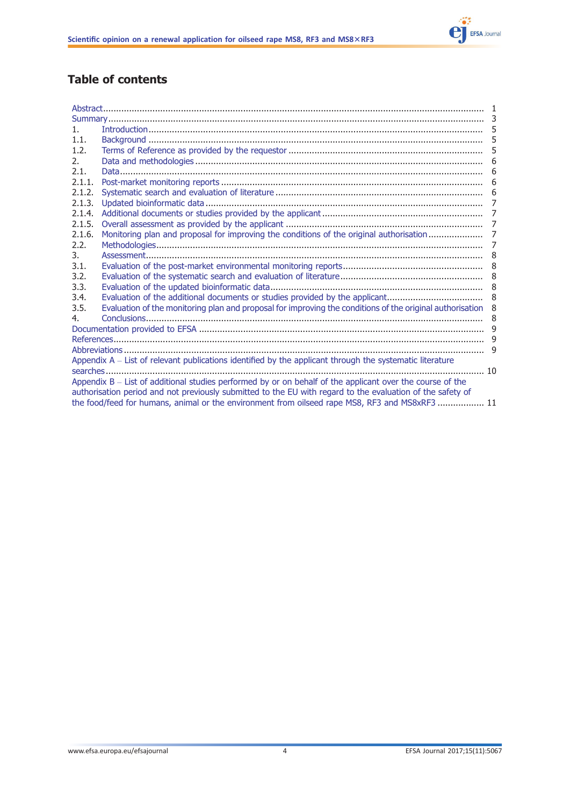

# Table of contents

| $1_{-}$                                                                                                   |                                                                                                            | 5              |  |  |  |
|-----------------------------------------------------------------------------------------------------------|------------------------------------------------------------------------------------------------------------|----------------|--|--|--|
| 1.1.                                                                                                      |                                                                                                            | 5              |  |  |  |
| 1.2.                                                                                                      |                                                                                                            | 5              |  |  |  |
| 2.                                                                                                        |                                                                                                            |                |  |  |  |
| 2.1.                                                                                                      |                                                                                                            | 6              |  |  |  |
| 2.1.1.                                                                                                    |                                                                                                            | 6              |  |  |  |
| 2.1.2.                                                                                                    |                                                                                                            |                |  |  |  |
| 2.1.3.                                                                                                    |                                                                                                            | 7              |  |  |  |
| 2.1.4.                                                                                                    |                                                                                                            |                |  |  |  |
| 2.1.5.                                                                                                    |                                                                                                            |                |  |  |  |
| 2.1.6.                                                                                                    |                                                                                                            |                |  |  |  |
| 2.2.                                                                                                      |                                                                                                            | $\overline{7}$ |  |  |  |
| 3.                                                                                                        |                                                                                                            |                |  |  |  |
| 3.1.                                                                                                      |                                                                                                            |                |  |  |  |
| 3.2.                                                                                                      |                                                                                                            |                |  |  |  |
| 3.3.                                                                                                      |                                                                                                            |                |  |  |  |
| 3.4.                                                                                                      |                                                                                                            |                |  |  |  |
| 3.5.                                                                                                      | Evaluation of the monitoring plan and proposal for improving the conditions of the original authorisation  | 8              |  |  |  |
| 4.                                                                                                        |                                                                                                            |                |  |  |  |
|                                                                                                           |                                                                                                            |                |  |  |  |
|                                                                                                           |                                                                                                            |                |  |  |  |
|                                                                                                           |                                                                                                            |                |  |  |  |
| Appendix A - List of relevant publications identified by the applicant through the systematic literature  |                                                                                                            |                |  |  |  |
|                                                                                                           |                                                                                                            |                |  |  |  |
| Appendix B - List of additional studies performed by or on behalf of the applicant over the course of the |                                                                                                            |                |  |  |  |
|                                                                                                           | authorisation period and not previously submitted to the EU with regard to the evaluation of the safety of |                |  |  |  |
|                                                                                                           | the food/feed for humans, animal or the environment from oilseed rape MS8, RF3 and MS8xRF3  11             |                |  |  |  |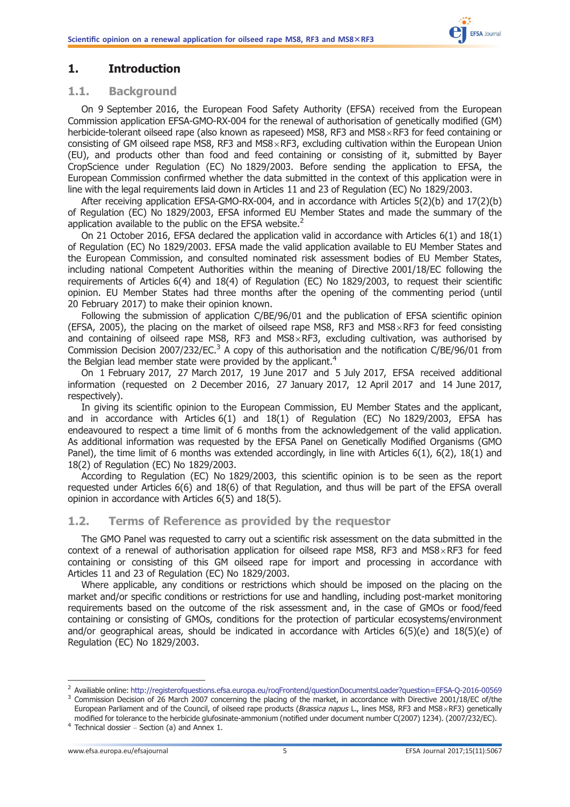# <span id="page-4-0"></span>1. Introduction

#### 1.1. Background

On 9 September 2016, the European Food Safety Authority (EFSA) received from the European Commission application EFSA-GMO-RX-004 for the renewal of authorisation of genetically modified (GM) herbicide-tolerant oilseed rape (also known as rapeseed) MS8, RF3 and MS8 $\times$ RF3 for feed containing or consisting of GM oilseed rape MS8, RF3 and MS8 $\times$ RF3, excluding cultivation within the European Union (EU), and products other than food and feed containing or consisting of it, submitted by Bayer CropScience under Regulation (EC) No 1829/2003. Before sending the application to EFSA, the European Commission confirmed whether the data submitted in the context of this application were in line with the legal requirements laid down in Articles 11 and 23 of Regulation (EC) No 1829/2003.

After receiving application EFSA-GMO-RX-004, and in accordance with Articles 5(2)(b) and 17(2)(b) of Regulation (EC) No 1829/2003, EFSA informed EU Member States and made the summary of the application available to the public on the EFSA website. $<sup>2</sup>$ </sup>

On 21 October 2016, EFSA declared the application valid in accordance with Articles 6(1) and 18(1) of Regulation (EC) No 1829/2003. EFSA made the valid application available to EU Member States and the European Commission, and consulted nominated risk assessment bodies of EU Member States, including national Competent Authorities within the meaning of Directive 2001/18/EC following the requirements of Articles 6(4) and 18(4) of Regulation (EC) No 1829/2003, to request their scientific opinion. EU Member States had three months after the opening of the commenting period (until 20 February 2017) to make their opinion known.

Following the submission of application C/BE/96/01 and the publication of EFSA scientific opinion (EFSA, 2005), the placing on the market of oilseed rape MS8, RF3 and MS8 $\times$ RF3 for feed consisting and containing of oilseed rape MS8, RF3 and MS8 $\times$ RF3, excluding cultivation, was authorised by Commission Decision 2007/232/EC.<sup>3</sup> A copy of this authorisation and the notification C/BE/96/01 from the Belgian lead member state were provided by the applicant.<sup>4</sup>

On 1 February 2017, 27 March 2017, 19 June 2017 and 5 July 2017, EFSA received additional information (requested on 2 December 2016, 27 January 2017, 12 April 2017 and 14 June 2017, respectively).

In giving its scientific opinion to the European Commission, EU Member States and the applicant, and in accordance with Articles  $6(1)$  and  $18(1)$  of Regulation (EC) No  $1829/2003$ , EFSA has endeavoured to respect a time limit of 6 months from the acknowledgement of the valid application. As additional information was requested by the EFSA Panel on Genetically Modified Organisms (GMO Panel), the time limit of 6 months was extended accordingly, in line with Articles 6(1), 6(2), 18(1) and 18(2) of Regulation (EC) No 1829/2003.

According to Regulation (EC) No 1829/2003, this scientific opinion is to be seen as the report requested under Articles 6(6) and 18(6) of that Regulation, and thus will be part of the EFSA overall opinion in accordance with Articles 6(5) and 18(5).

# 1.2. Terms of Reference as provided by the requestor

The GMO Panel was requested to carry out a scientific risk assessment on the data submitted in the context of a renewal of authorisation application for oilseed rape MS8, RF3 and MS8 $\times$ RF3 for feed containing or consisting of this GM oilseed rape for import and processing in accordance with Articles 11 and 23 of Regulation (EC) No 1829/2003.

Where applicable, any conditions or restrictions which should be imposed on the placing on the market and/or specific conditions or restrictions for use and handling, including post-market monitoring requirements based on the outcome of the risk assessment and, in the case of GMOs or food/feed containing or consisting of GMOs, conditions for the protection of particular ecosystems/environment and/or geographical areas, should be indicated in accordance with Articles 6(5)(e) and 18(5)(e) of Regulation (EC) No 1829/2003.

<sup>&</sup>lt;sup>2</sup> Availiable online: <http://registerofquestions.efsa.europa.eu/roqFrontend/questionDocumentsLoader?question=EFSA-Q-2016-00569><br><sup>3</sup> Commission Decision of 26 March 2007 concerning the placing of the market. in accordance

European Parliament and of the Council, of oilseed rape products (Brassica napus L., lines MS8, RF3 and MS8×RF3) genetically modified for tolerance to the herbicide glufosinate-ammonium (notified under document number C(2007) 1234). (2007/232/EC). <sup>4</sup> Technical dossier – Section (a) and Annex 1.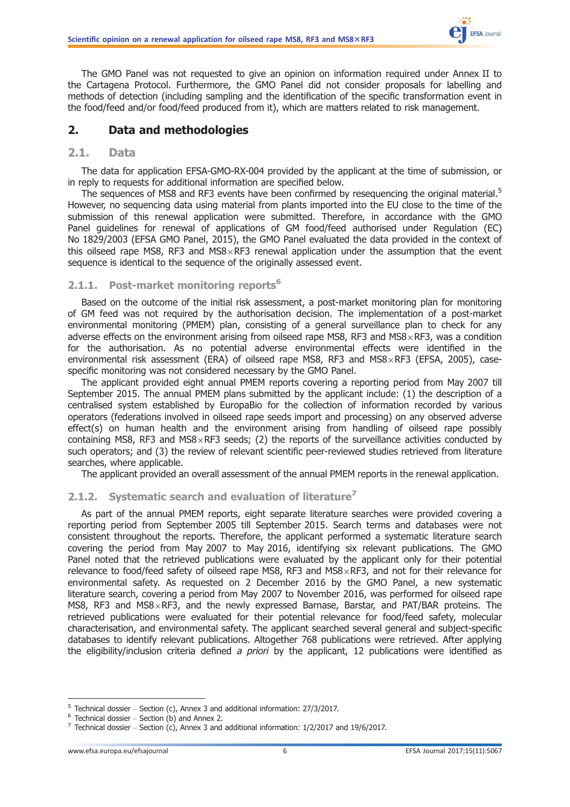<span id="page-5-0"></span>The GMO Panel was not requested to give an opinion on information required under Annex II to the Cartagena Protocol. Furthermore, the GMO Panel did not consider proposals for labelling and methods of detection (including sampling and the identification of the specific transformation event in the food/feed and/or food/feed produced from it), which are matters related to risk management.

# 2. Data and methodologies

#### 2.1. Data

The data for application EFSA-GMO-RX-004 provided by the applicant at the time of submission, or in reply to requests for additional information are specified below.

The sequences of MS8 and RF3 events have been confirmed by resequencing the original material.<sup>5</sup> However, no sequencing data using material from plants imported into the EU close to the time of the submission of this renewal application were submitted. Therefore, in accordance with the GMO Panel guidelines for renewal of applications of GM food/feed authorised under Regulation (EC) No 1829/2003 (EFSA GMO Panel, 2015), the GMO Panel evaluated the data provided in the context of this oilseed rape MS8, RF3 and MS8 $\times$ RF3 renewal application under the assumption that the event sequence is identical to the sequence of the originally assessed event.

# 2.1.1. Post-market monitoring reports<sup>6</sup>

Based on the outcome of the initial risk assessment, a post-market monitoring plan for monitoring of GM feed was not required by the authorisation decision. The implementation of a post-market environmental monitoring (PMEM) plan, consisting of a general surveillance plan to check for any adverse effects on the environment arising from oilseed rape MS8, RF3 and MS8 $\times$ RF3, was a condition for the authorisation. As no potential adverse environmental effects were identified in the environmental risk assessment (ERA) of oilseed rape MS8, RF3 and MS8 $\times$ RF3 (EFSA, 2005), casespecific monitoring was not considered necessary by the GMO Panel.

The applicant provided eight annual PMEM reports covering a reporting period from May 2007 till September 2015. The annual PMEM plans submitted by the applicant include: (1) the description of a centralised system established by EuropaBio for the collection of information recorded by various operators (federations involved in oilseed rape seeds import and processing) on any observed adverse effect(s) on human health and the environment arising from handling of oilseed rape possibly containing MS8, RF3 and MS8 $\times$ RF3 seeds; (2) the reports of the surveillance activities conducted by such operators; and (3) the review of relevant scientific peer-reviewed studies retrieved from literature searches, where applicable.

The applicant provided an overall assessment of the annual PMEM reports in the renewal application.

# 2.1.2. Systematic search and evaluation of literature<sup>7</sup>

As part of the annual PMEM reports, eight separate literature searches were provided covering a reporting period from September 2005 till September 2015. Search terms and databases were not consistent throughout the reports. Therefore, the applicant performed a systematic literature search covering the period from May 2007 to May 2016, identifying six relevant publications. The GMO Panel noted that the retrieved publications were evaluated by the applicant only for their potential relevance to food/feed safety of oilseed rape MS8, RF3 and MS8 $\times$ RF3, and not for their relevance for environmental safety. As requested on 2 December 2016 by the GMO Panel, a new systematic literature search, covering a period from May 2007 to November 2016, was performed for oilseed rape MS8, RF3 and MS8 $\times$ RF3, and the newly expressed Barnase, Barstar, and PAT/BAR proteins. The retrieved publications were evaluated for their potential relevance for food/feed safety, molecular characterisation, and environmental safety. The applicant searched several general and subject-specific databases to identify relevant publications. Altogether 768 publications were retrieved. After applying the eligibility/inclusion criteria defined a priori by the applicant, 12 publications were identified as

<sup>&</sup>lt;sup>5</sup> Technical dossier – Section (c), Annex 3 and additional information: 27/3/2017.<br>
<sup>6</sup> Technical dossier – Section (b) and Annex 2.<br>
<sup>7</sup> Technical dossier – Section (c), Annex 3 and additional information: 1/2/2017 and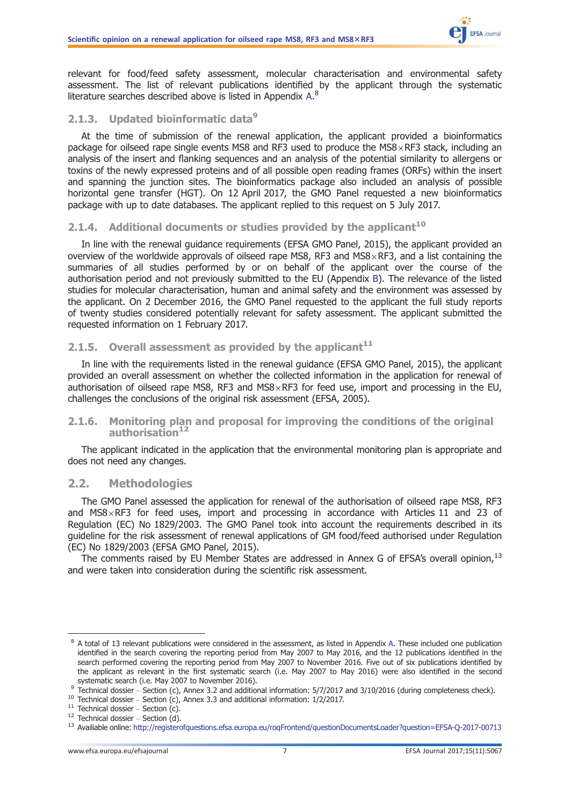<span id="page-6-0"></span>relevant for food/feed safety assessment, molecular characterisation and environmental safety assessment. The list of relevant publications identified by the applicant through the systematic literature searches described above is listed in Appendix  $A$ .<sup>8</sup>

# 2.1.3. Updated bioinformatic data<sup>9</sup>

At the time of submission of the renewal application, the applicant provided a bioinformatics package for oilseed rape single events MS8 and RF3 used to produce the MS8 $\times$ RF3 stack, including an analysis of the insert and flanking sequences and an analysis of the potential similarity to allergens or toxins of the newly expressed proteins and of all possible open reading frames (ORFs) within the insert and spanning the junction sites. The bioinformatics package also included an analysis of possible horizontal gene transfer (HGT). On 12 April 2017, the GMO Panel requested a new bioinformatics package with up to date databases. The applicant replied to this request on 5 July 2017.

# 2.1.4. Additional documents or studies provided by the applicant $10$

In line with the renewal guidance requirements (EFSA GMO Panel, 2015), the applicant provided an overview of the worldwide approvals of oilseed rape MS8, RF3 and MS8 $\times$ RF3, and a list containing the summaries of all studies performed by or on behalf of the applicant over the course of the authorisation period and not previously submitted to the EU (Appendix [B](#page-10-0)). The relevance of the listed studies for molecular characterisation, human and animal safety and the environment was assessed by the applicant. On 2 December 2016, the GMO Panel requested to the applicant the full study reports of twenty studies considered potentially relevant for safety assessment. The applicant submitted the requested information on 1 February 2017.

### 2.1.5. Overall assessment as provided by the applicant $11$

In line with the requirements listed in the renewal guidance (EFSA GMO Panel, 2015), the applicant provided an overall assessment on whether the collected information in the application for renewal of authorisation of oilseed rape MS8, RF3 and MS8 $\times$ RF3 for feed use, import and processing in the EU, challenges the conclusions of the original risk assessment (EFSA, 2005).

#### 2.1.6. Monitoring plan and proposal for improving the conditions of the original authorisation<sup>12</sup>

The applicant indicated in the application that the environmental monitoring plan is appropriate and does not need any changes.

#### 2.2. Methodologies

The GMO Panel assessed the application for renewal of the authorisation of oilseed rape MS8, RF3 and  $MS8\times RF3$  for feed uses, import and processing in accordance with Articles 11 and 23 of Regulation (EC) No 1829/2003. The GMO Panel took into account the requirements described in its guideline for the risk assessment of renewal applications of GM food/feed authorised under Regulation (EC) No 1829/2003 (EFSA GMO Panel, 2015).

The comments raised by EU Member States are addressed in Annex G of EFSA's overall opinion,  $^{13}$ and were taken into consideration during the scientific risk assessment.

<sup>&</sup>lt;sup>8</sup> A total of 13 relevant publications were considered in the assessment, as listed in Appendix [A.](#page-9-0) These included one publication identified in the search covering the reporting period from May 2007 to May 2016, and the 12 publications identified in the search performed covering the reporting period from May 2007 to November 2016. Five out of six publications identified by the applicant as relevant in the first systematic search (i.e. May 2007 to May 2016) were also identified in the second systematic search (i.e. May 2007 to November 2016).

<sup>&</sup>lt;sup>9</sup> Technical dossier – Section (c), Annex 3.2 and additional information: 5/7/2017 and 3/10/2016 (during completeness check).<br><sup>10</sup> Technical dossier – Section (c), Annex 3.3 and additional information: 1/2/2017.<br><sup>11</sup> Tec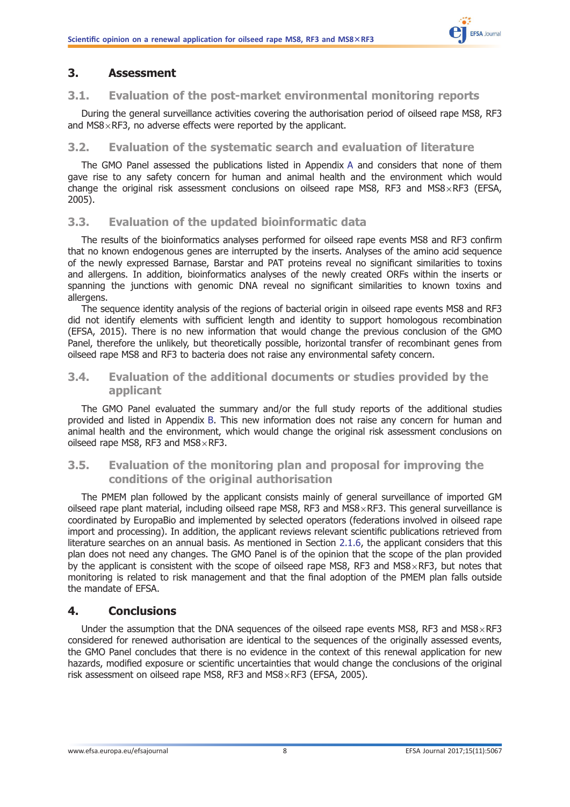# <span id="page-7-0"></span>3. Assessment

### 3.1. Evaluation of the post-market environmental monitoring reports

During the general surveillance activities covering the authorisation period of oilseed rape MS8, RF3 and  $MS8\times RF3$ , no adverse effects were reported by the applicant.

### 3.2. Evaluation of the systematic search and evaluation of literature

The GMO Panel assessed the publications listed in Appendix [A](#page-9-0) and considers that none of them gave rise to any safety concern for human and animal health and the environment which would change the original risk assessment conclusions on oilseed rape MS8, RF3 and MS8 $\times$ RF3 (EFSA, 2005).

# 3.3. Evaluation of the updated bioinformatic data

The results of the bioinformatics analyses performed for oilseed rape events MS8 and RF3 confirm that no known endogenous genes are interrupted by the inserts. Analyses of the amino acid sequence of the newly expressed Barnase, Barstar and PAT proteins reveal no significant similarities to toxins and allergens. In addition, bioinformatics analyses of the newly created ORFs within the inserts or spanning the junctions with genomic DNA reveal no significant similarities to known toxins and allergens.

The sequence identity analysis of the regions of bacterial origin in oilseed rape events MS8 and RF3 did not identify elements with sufficient length and identity to support homologous recombination (EFSA, 2015). There is no new information that would change the previous conclusion of the GMO Panel, therefore the unlikely, but theoretically possible, horizontal transfer of recombinant genes from oilseed rape MS8 and RF3 to bacteria does not raise any environmental safety concern.

# 3.4. Evaluation of the additional documents or studies provided by the applicant

The GMO Panel evaluated the summary and/or the full study reports of the additional studies provided and listed in Appendix [B.](#page-10-0) This new information does not raise any concern for human and animal health and the environment, which would change the original risk assessment conclusions on oilseed rape MS8, RF3 and MS8 $\times$ RF3.

# 3.5. Evaluation of the monitoring plan and proposal for improving the conditions of the original authorisation

The PMEM plan followed by the applicant consists mainly of general surveillance of imported GM oilseed rape plant material, including oilseed rape MS8, RF3 and MS8 $\times$ RF3. This general surveillance is coordinated by EuropaBio and implemented by selected operators (federations involved in oilseed rape import and processing). In addition, the applicant reviews relevant scientific publications retrieved from literature searches on an annual basis. As mentioned in Section [2.1.6](#page-6-0), the applicant considers that this plan does not need any changes. The GMO Panel is of the opinion that the scope of the plan provided by the applicant is consistent with the scope of oilseed rape MS8, RF3 and MS8 $\times$ RF3, but notes that monitoring is related to risk management and that the final adoption of the PMEM plan falls outside the mandate of EFSA.

# 4. Conclusions

Under the assumption that the DNA sequences of the oilseed rape events MS8, RF3 and MS8 $\times$ RF3 considered for renewed authorisation are identical to the sequences of the originally assessed events, the GMO Panel concludes that there is no evidence in the context of this renewal application for new hazards, modified exposure or scientific uncertainties that would change the conclusions of the original risk assessment on oilseed rape MS8, RF3 and MS8 $\times$ RF3 (EFSA, 2005).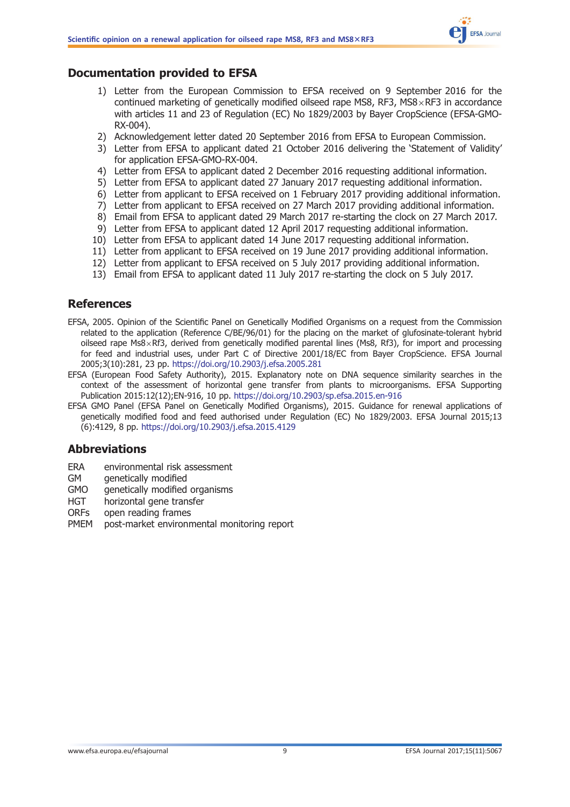

# <span id="page-8-0"></span>Documentation provided to EFSA

- 1) Letter from the European Commission to EFSA received on 9 September 2016 for the continued marketing of genetically modified oilseed rape MS8, RF3, MS8 $\times$ RF3 in accordance with articles 11 and 23 of Regulation (EC) No 1829/2003 by Bayer CropScience (EFSA-GMO-RX-004).
- 2) Acknowledgement letter dated 20 September 2016 from EFSA to European Commission.
- 3) Letter from EFSA to applicant dated 21 October 2016 delivering the 'Statement of Validity' for application EFSA-GMO-RX-004.
- 4) Letter from EFSA to applicant dated 2 December 2016 requesting additional information.
- 5) Letter from EFSA to applicant dated 27 January 2017 requesting additional information.
- 6) Letter from applicant to EFSA received on 1 February 2017 providing additional information.
- 7) Letter from applicant to EFSA received on 27 March 2017 providing additional information.
- 8) Email from EFSA to applicant dated 29 March 2017 re-starting the clock on 27 March 2017.
- 9) Letter from EFSA to applicant dated 12 April 2017 requesting additional information.
- 10) Letter from EFSA to applicant dated 14 June 2017 requesting additional information.
- 11) Letter from applicant to EFSA received on 19 June 2017 providing additional information.
- 12) Letter from applicant to EFSA received on 5 July 2017 providing additional information.
- 13) Email from EFSA to applicant dated 11 July 2017 re-starting the clock on 5 July 2017.

# References

- EFSA, 2005. Opinion of the Scientific Panel on Genetically Modified Organisms on a request from the Commission related to the application (Reference C/BE/96/01) for the placing on the market of glufosinate-tolerant hybrid oilseed rape Ms8 $\times$ Rf3, derived from genetically modified parental lines (Ms8, Rf3), for import and processing for feed and industrial uses, under Part C of Directive 2001/18/EC from Bayer CropScience. EFSA Journal 2005;3(10):281, 23 pp. <https://doi.org/10.2903/j.efsa.2005.281>
- EFSA (European Food Safety Authority), 2015. Explanatory note on DNA sequence similarity searches in the context of the assessment of horizontal gene transfer from plants to microorganisms. EFSA Supporting Publication 2015:12(12);EN-916, 10 pp. <https://doi.org/10.2903/sp.efsa.2015.en-916>
- EFSA GMO Panel (EFSA Panel on Genetically Modified Organisms), 2015. Guidance for renewal applications of genetically modified food and feed authorised under Regulation (EC) No 1829/2003. EFSA Journal 2015;13 (6):4129, 8 pp. <https://doi.org/10.2903/j.efsa.2015.4129>

# Abbreviations

- ERA environmental risk assessment
- GM genetically modified
- GMO genetically modified organisms
- HGT horizontal gene transfer
- ORFs open reading frames
- PMEM post-market environmental monitoring report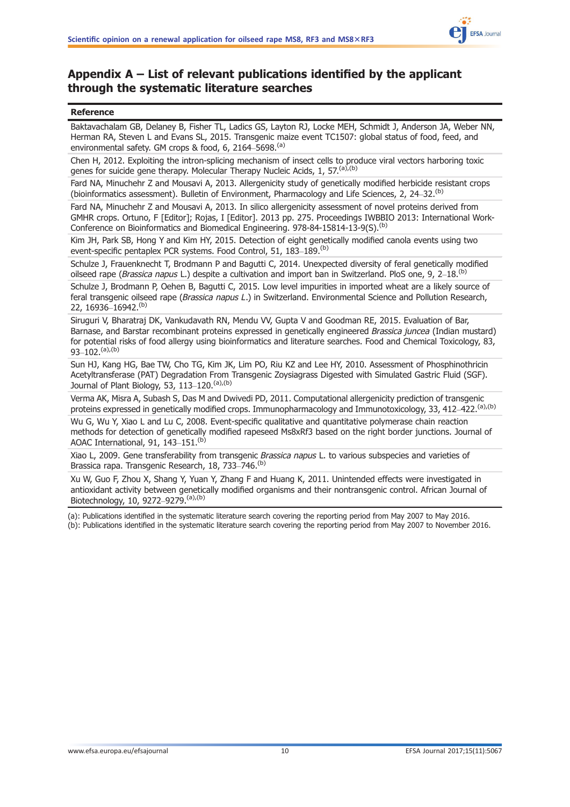

# <span id="page-9-0"></span>Appendix A – List of relevant publications identified by the applicant through the systematic literature searches

#### Reference

Baktavachalam GB, Delaney B, Fisher TL, Ladics GS, Layton RJ, Locke MEH, Schmidt J, Anderson JA, Weber NN, Herman RA, Steven L and Evans SL, 2015. Transgenic maize event TC1507: global status of food, feed, and environmental safety. GM crops & food, 6, 2164-5698.<sup>(a)</sup>

Chen H, 2012. Exploiting the intron-splicing mechanism of insect cells to produce viral vectors harboring toxic genes for suicide gene therapy. Molecular Therapy Nucleic Acids, 1, 57<sup>(a),(b)</sup>

Fard NA, Minuchehr Z and Mousavi A, 2013. Allergenicity study of genetically modified herbicide resistant crops (bioinformatics assessment). Bulletin of Environment, Pharmacology and Life Sciences, 2, 24–32.(b)

Fard NA, Minuchehr Z and Mousavi A, 2013. In silico allergenicity assessment of novel proteins derived from GMHR crops. Ortuno, F [Editor]; Rojas, I [Editor]. 2013 pp. 275. Proceedings IWBBIO 2013: International Work-Conference on Bioinformatics and Biomedical Engineering. 978-84-15814-13-9(S).<sup>(b)</sup>

Kim JH, Park SB, Hong Y and Kim HY, 2015. Detection of eight genetically modified canola events using two event-specific pentaplex PCR systems. Food Control, 51, 183-189.<sup>(b)</sup>

Schulze J, Frauenknecht T, Brodmann P and Bagutti C, 2014. Unexpected diversity of feral genetically modified oilseed rape (Brassica napus L.) despite a cultivation and import ban in Switzerland. PloS one, 9, 2–18.<sup>(b)</sup>

Schulze J, Brodmann P, Oehen B, Bagutti C, 2015. Low level impurities in imported wheat are a likely source of feral transgenic oilseed rape (Brassica napus L.) in Switzerland. Environmental Science and Pollution Research, 22, 16936–16942.(b)

Siruguri V, Bharatraj DK, Vankudavath RN, Mendu VV, Gupta V and Goodman RE, 2015. Evaluation of Bar, Barnase, and Barstar recombinant proteins expressed in genetically engineered Brassica juncea (Indian mustard) for potential risks of food allergy using bioinformatics and literature searches. Food and Chemical Toxicology, 83, 93–102 $(ab)(b)$ 

Sun HJ, Kang HG, Bae TW, Cho TG, Kim JK, Lim PO, Riu KZ and Lee HY, 2010. Assessment of Phosphinothricin Acetyltransferase (PAT) Degradation From Transgenic Zoysiagrass Digested with Simulated Gastric Fluid (SGF). Journal of Plant Biology, 53, 113-120. (a), (b)

Verma AK, Misra A, Subash S, Das M and Dwivedi PD, 2011. Computational allergenicity prediction of transgenic proteins expressed in genetically modified crops. Immunopharmacology and Immunotoxicology, 33, 412–422.<sup>(a),(b)</sup> Wu G, Wu Y, Xiao L and Lu C, 2008. Event-specific qualitative and quantitative polymerase chain reaction

methods for detection of genetically modified rapeseed Ms8xRf3 based on the right border junctions. Journal of AOAC International, 91, 143-151.<sup>(b)</sup>

Xiao L, 2009. Gene transferability from transgenic Brassica napus L. to various subspecies and varieties of Brassica rapa. Transgenic Research, 18, 733-746.<sup>(b)</sup>

Xu W, Guo F, Zhou X, Shang Y, Yuan Y, Zhang F and Huang K, 2011. Unintended effects were investigated in antioxidant activity between genetically modified organisms and their nontransgenic control. African Journal of Biotechnology, 10, 9272–9279.(a),(b)

(a): Publications identified in the systematic literature search covering the reporting period from May 2007 to May 2016.

(b): Publications identified in the systematic literature search covering the reporting period from May 2007 to November 2016.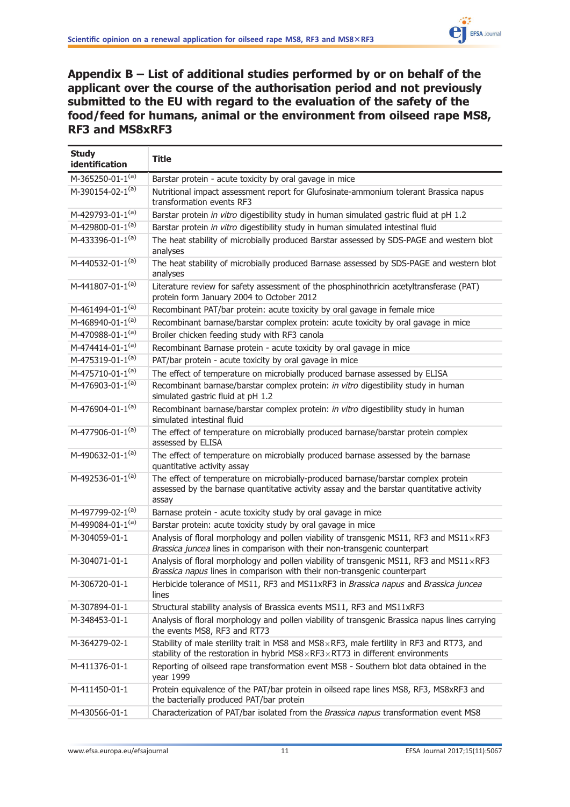<span id="page-10-0"></span>Appendix B – List of additional studies performed by or on behalf of the applicant over the course of the authorisation period and not previously submitted to the EU with regard to the evaluation of the safety of the food/feed for humans, animal or the environment from oilseed rape MS8, RF3 and MS8xRF3

| <b>Study</b><br>identification | <b>Title</b>                                                                                                                                                                                 |
|--------------------------------|----------------------------------------------------------------------------------------------------------------------------------------------------------------------------------------------|
| M-365250-01-1(a)               | Barstar protein - acute toxicity by oral gavage in mice                                                                                                                                      |
| M-390154-02-1(a)               | Nutritional impact assessment report for Glufosinate-ammonium tolerant Brassica napus<br>transformation events RF3                                                                           |
| M-429793-01-1(a)               | Barstar protein in vitro digestibility study in human simulated gastric fluid at pH 1.2                                                                                                      |
| M-429800-01-1(a)               | Barstar protein in vitro digestibility study in human simulated intestinal fluid                                                                                                             |
| M-433396-01-1 <sup>(a)</sup>   | The heat stability of microbially produced Barstar assessed by SDS-PAGE and western blot<br>analyses                                                                                         |
| M-440532-01-1(a)               | The heat stability of microbially produced Barnase assessed by SDS-PAGE and western blot<br>analyses                                                                                         |
| M-441807-01-1 <sup>(a)</sup>   | Literature review for safety assessment of the phosphinothricin acetyltransferase (PAT)<br>protein form January 2004 to October 2012                                                         |
| M-461494-01-1 <sup>(a)</sup>   | Recombinant PAT/bar protein: acute toxicity by oral gavage in female mice                                                                                                                    |
| M-468940-01-1(a)               | Recombinant barnase/barstar complex protein: acute toxicity by oral gavage in mice                                                                                                           |
| M-470988-01-1 <sup>(a)</sup>   | Broiler chicken feeding study with RF3 canola                                                                                                                                                |
| M-474414-01-1 <sup>(a)</sup>   | Recombinant Barnase protein - acute toxicity by oral gavage in mice                                                                                                                          |
| M-475319-01-1 <sup>(a)</sup>   | PAT/bar protein - acute toxicity by oral gavage in mice                                                                                                                                      |
| M-475710-01-1(a)               | The effect of temperature on microbially produced barnase assessed by ELISA                                                                                                                  |
| M-476903-01-1(a)               | Recombinant barnase/barstar complex protein: in vitro digestibility study in human<br>simulated gastric fluid at pH 1.2                                                                      |
| M-476904-01-1(a)               | Recombinant barnase/barstar complex protein: in vitro digestibility study in human<br>simulated intestinal fluid                                                                             |
| M-477906-01-1(a)               | The effect of temperature on microbially produced barnase/barstar protein complex<br>assessed by ELISA                                                                                       |
| M-490632-01-1(a)               | The effect of temperature on microbially produced barnase assessed by the barnase<br>quantitative activity assay                                                                             |
| M-492536-01-1(a)               | The effect of temperature on microbially-produced barnase/barstar complex protein<br>assessed by the barnase quantitative activity assay and the barstar quantitative activity<br>assay      |
| M-497799-02-1(a)               | Barnase protein - acute toxicity study by oral gavage in mice                                                                                                                                |
| M-499084-01-1 <sup>(a)</sup>   | Barstar protein: acute toxicity study by oral gavage in mice                                                                                                                                 |
| M-304059-01-1                  | Analysis of floral morphology and pollen viability of transgenic MS11, RF3 and MS11 $\times$ RF3<br>Brassica juncea lines in comparison with their non-transgenic counterpart                |
| M-304071-01-1                  | Analysis of floral morphology and pollen viability of transgenic MS11, RF3 and MS11 $\times$ RF3<br>Brassica napus lines in comparison with their non-transgenic counterpart                 |
| M-306720-01-1                  | Herbicide tolerance of MS11, RF3 and MS11xRF3 in Brassica napus and Brassica juncea<br>lines                                                                                                 |
| M-307894-01-1                  | Structural stability analysis of Brassica events MS11, RF3 and MS11xRF3                                                                                                                      |
| M-348453-01-1                  | Analysis of floral morphology and pollen viability of transgenic Brassica napus lines carrying<br>the events MS8, RF3 and RT73                                                               |
| M-364279-02-1                  | Stability of male sterility trait in MS8 and MS8 x RF3, male fertility in RF3 and RT73, and<br>stability of the restoration in hybrid $MSS \times RF3 \times RT73$ in different environments |
| M-411376-01-1                  | Reporting of oilseed rape transformation event MS8 - Southern blot data obtained in the<br>year 1999                                                                                         |
| M-411450-01-1                  | Protein equivalence of the PAT/bar protein in oilseed rape lines MS8, RF3, MS8xRF3 and<br>the bacterially produced PAT/bar protein                                                           |
| M-430566-01-1                  | Characterization of PAT/bar isolated from the Brassica napus transformation event MS8                                                                                                        |